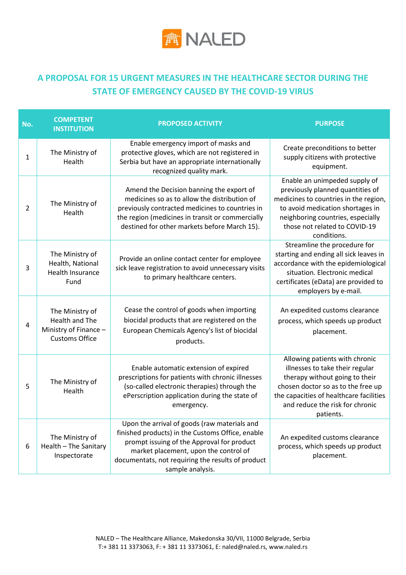

## **A PROPOSAL FOR 15 URGENT MEASURES IN THE HEALTHCARE SECTOR DURING THE STATE OF EMERGENCY CAUSED BY THE COVID-19 VIRUS**

| No.            | <b>COMPETENT</b><br><b>INSTITUTION</b>                                                     | <b>PROPOSED ACTIVITY</b>                                                                                                                                                                                                                                         | <b>PURPOSE</b>                                                                                                                                                                                                                       |
|----------------|--------------------------------------------------------------------------------------------|------------------------------------------------------------------------------------------------------------------------------------------------------------------------------------------------------------------------------------------------------------------|--------------------------------------------------------------------------------------------------------------------------------------------------------------------------------------------------------------------------------------|
| 1              | The Ministry of<br>Health                                                                  | Enable emergency import of masks and<br>protective gloves, which are not registered in<br>Serbia but have an appropriate internationally<br>recognized quality mark.                                                                                             | Create preconditions to better<br>supply citizens with protective<br>equipment.                                                                                                                                                      |
| $\overline{2}$ | The Ministry of<br>Health                                                                  | Amend the Decision banning the export of<br>medicines so as to allow the distribution of<br>previously contracted medicines to countries in<br>the region (medicines in transit or commercially<br>destined for other markets before March 15).                  | Enable an unimpeded supply of<br>previously planned quantities of<br>medicines to countries in the region,<br>to avoid medication shortages in<br>neighboring countries, especially<br>those not related to COVID-19<br>conditions.  |
| 3              | The Ministry of<br>Health, National<br>Health Insurance<br>Fund                            | Provide an online contact center for employee<br>sick leave registration to avoid unnecessary visits<br>to primary healthcare centers.                                                                                                                           | Streamline the procedure for<br>starting and ending all sick leaves in<br>accordance with the epidemiological<br>situation. Electronic medical<br>certificates (eData) are provided to<br>employers by e-mail.                       |
| 4              | The Ministry of<br><b>Health and The</b><br>Ministry of Finance -<br><b>Customs Office</b> | Cease the control of goods when importing<br>biocidal products that are registered on the<br>European Chemicals Agency's list of biocidal<br>products.                                                                                                           | An expedited customs clearance<br>process, which speeds up product<br>placement.                                                                                                                                                     |
| 5              | The Ministry of<br>Health                                                                  | Enable automatic extension of expired<br>prescriptions for patients with chronic illnesses<br>(so-called electronic therapies) through the<br>ePerscription application during the state of<br>emergency.                                                        | Allowing patients with chronic<br>illnesses to take their regular<br>therapy without going to their<br>chosen doctor so as to the free up<br>the capacities of healthcare facilities<br>and reduce the risk for chronic<br>patients. |
| 6              | The Ministry of<br>Health - The Sanitary<br>Inspectorate                                   | Upon the arrival of goods (raw materials and<br>finished products) in the Customs Office, enable<br>prompt issuing of the Approval for product<br>market placement, upon the control of<br>documentats, not requiring the results of product<br>sample analysis. | An expedited customs clearance<br>process, which speeds up product<br>placement.                                                                                                                                                     |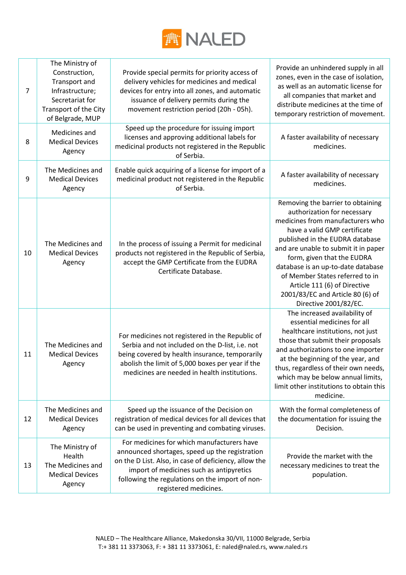

| $\overline{7}$ | The Ministry of<br>Construction,<br>Transport and<br>Infrastructure;<br>Secretariat for<br>Transport of the City<br>of Belgrade, MUP | Provide special permits for priority access of<br>delivery vehicles for medicines and medical<br>devices for entry into all zones, and automatic<br>issuance of delivery permits during the<br>movement restriction period (20h - 05h).                                       | Provide an unhindered supply in all<br>zones, even in the case of isolation,<br>as well as an automatic license for<br>all companies that market and<br>distribute medicines at the time of<br>temporary restriction of movement.                                                                                                                                                                                   |
|----------------|--------------------------------------------------------------------------------------------------------------------------------------|-------------------------------------------------------------------------------------------------------------------------------------------------------------------------------------------------------------------------------------------------------------------------------|---------------------------------------------------------------------------------------------------------------------------------------------------------------------------------------------------------------------------------------------------------------------------------------------------------------------------------------------------------------------------------------------------------------------|
| 8              | Medicines and<br><b>Medical Devices</b><br>Agency                                                                                    | Speed up the procedure for issuing import<br>licenses and approving additional labels for<br>medicinal products not registered in the Republic<br>of Serbia.                                                                                                                  | A faster availability of necessary<br>medicines.                                                                                                                                                                                                                                                                                                                                                                    |
| 9              | The Medicines and<br><b>Medical Devices</b><br>Agency                                                                                | Enable quick acquiring of a license for import of a<br>medicinal product not registered in the Republic<br>of Serbia.                                                                                                                                                         | A faster availability of necessary<br>medicines.                                                                                                                                                                                                                                                                                                                                                                    |
| 10             | The Medicines and<br><b>Medical Devices</b><br>Agency                                                                                | In the process of issuing a Permit for medicinal<br>products not registered in the Republic of Serbia,<br>accept the GMP Certificate from the EUDRA<br>Certificate Database.                                                                                                  | Removing the barrier to obtaining<br>authorization for necessary<br>medicines from manufacturers who<br>have a valid GMP certificate<br>published in the EUDRA database<br>and are unable to submit it in paper<br>form, given that the EUDRA<br>database is an up-to-date database<br>of Member States referred to in<br>Article 111 (6) of Directive<br>2001/83/EC and Article 80 (6) of<br>Directive 2001/82/EC. |
| 11             | The Medicines and<br><b>Medical Devices</b><br>Agency                                                                                | For medicines not registered in the Republic of<br>Serbia and not included on the D-list, i.e. not<br>being covered by health insurance, temporarily<br>abolish the limit of 5,000 boxes per year if the<br>medicines are needed in health institutions.                      | The increased availability of<br>essential medicines for all<br>healthcare institutions, not just<br>those that submit their proposals<br>and authorizations to one importer<br>at the beginning of the year, and<br>thus, regardless of their own needs,<br>which may be below annual limits,<br>limit other institutions to obtain this<br>medicine.                                                              |
| 12             | The Medicines and<br><b>Medical Devices</b><br>Agency                                                                                | Speed up the issuance of the Decision on<br>registration of medical devices for all devices that<br>can be used in preventing and combating viruses.                                                                                                                          | With the formal completeness of<br>the documentation for issuing the<br>Decision.                                                                                                                                                                                                                                                                                                                                   |
| 13             | The Ministry of<br>Health<br>The Medicines and<br><b>Medical Devices</b><br>Agency                                                   | For medicines for which manufacturers have<br>announced shortages, speed up the registration<br>on the D List. Also, in case of deficiency, allow the<br>import of medicines such as antipyretics<br>following the regulations on the import of non-<br>registered medicines. | Provide the market with the<br>necessary medicines to treat the<br>population.                                                                                                                                                                                                                                                                                                                                      |